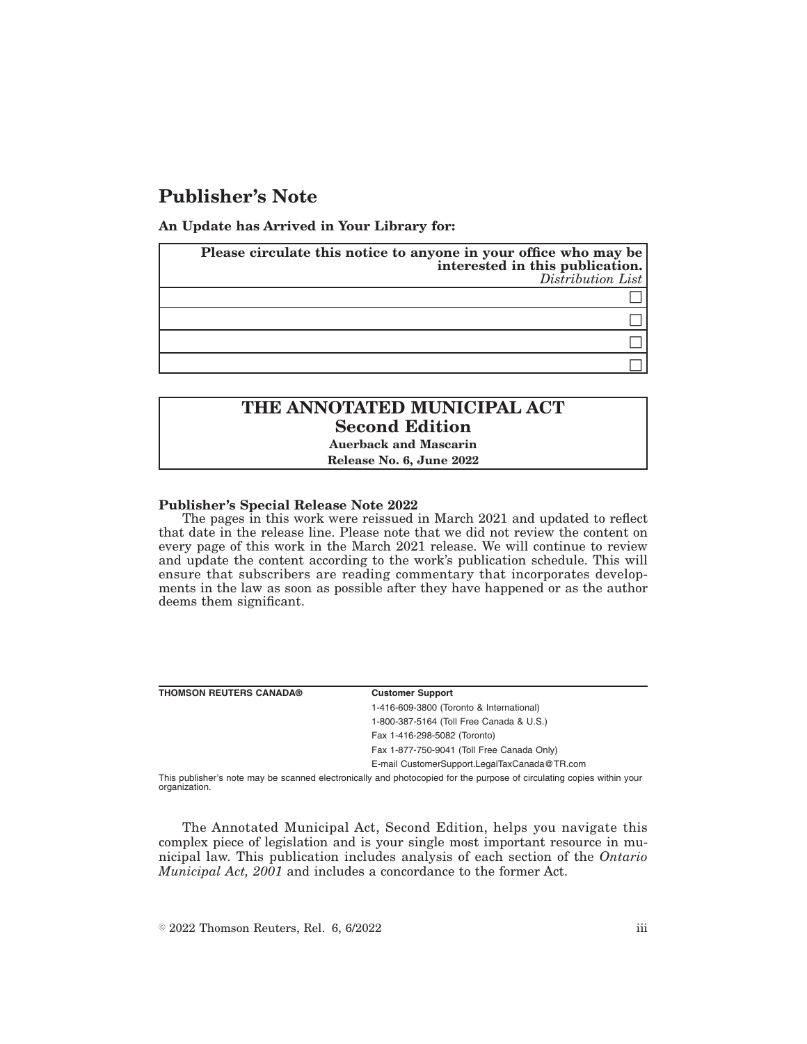## **Publisher's Note**

**An Update has Arrived in Your Library for:**

| Please circulate this notice to anyone in your office who may be<br>interested in this publication. | $Distribution$ <i>List</i> |
|-----------------------------------------------------------------------------------------------------|----------------------------|
|                                                                                                     |                            |
|                                                                                                     |                            |
|                                                                                                     |                            |
|                                                                                                     |                            |

# **THE ANNOTATED MUNICIPAL ACT Second Edition**

**Auerback and Mascarin**

**Release No. 6, June 2022**

#### **Publisher's Special Release Note 2022**

The pages in this work were reissued in March 2021 and updated to reflect that date in the release line. Please note that we did not review the content on every page of this work in the March 2021 release. We will continue to review and update the content according to the work's publication schedule. This will ensure that subscribers are reading commentary that incorporates developments in the law as soon as possible after they have happened or as the author deems them significant.

| <b>THOMSON REUTERS CANADA®</b>                                                                                        | <b>Customer Support</b>                      |
|-----------------------------------------------------------------------------------------------------------------------|----------------------------------------------|
|                                                                                                                       | 1-416-609-3800 (Toronto & International)     |
|                                                                                                                       | 1-800-387-5164 (Toll Free Canada & U.S.)     |
|                                                                                                                       | Fax 1-416-298-5082 (Toronto)                 |
|                                                                                                                       | Fax 1-877-750-9041 (Toll Free Canada Only)   |
|                                                                                                                       | E-mail CustomerSupport.LegalTaxCanada@TR.com |
| This publisher's note may be scanned electronically and photocopied for the purpose of circulating copies within your |                                              |

organization.

The Annotated Municipal Act, Second Edition, helps you navigate this complex piece of legislation and is your single most important resource in municipal law. This publication includes analysis of each section of the *Ontario Municipal Act, 2001* and includes a concordance to the former Act.

 $\degree$  2022 Thomson Reuters, Rel. 6, 6/2022 iii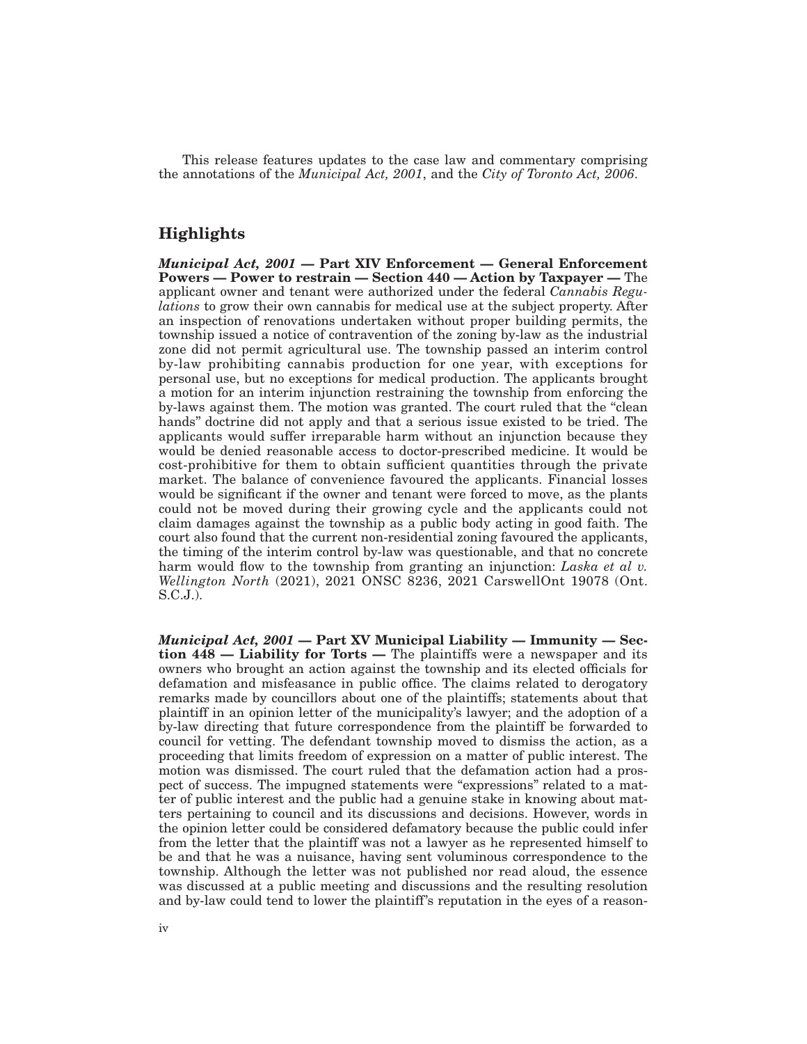This release features updates to the case law and commentary comprising the annotations of the *Municipal Act, 2001*, and the *City of Toronto Act, 2006*.

### **Highlights**

*Municipal Act, 2001* **— Part XIV Enforcement — General Enforcement Powers — Power to restrain — Section 440 — Action by Taxpayer —** The applicant owner and tenant were authorized under the federal *Cannabis Regulations* to grow their own cannabis for medical use at the subject property. After an inspection of renovations undertaken without proper building permits, the township issued a notice of contravention of the zoning by-law as the industrial zone did not permit agricultural use. The township passed an interim control by-law prohibiting cannabis production for one year, with exceptions for personal use, but no exceptions for medical production. The applicants brought a motion for an interim injunction restraining the township from enforcing the by-laws against them. The motion was granted. The court ruled that the "clean" hands'' doctrine did not apply and that a serious issue existed to be tried. The applicants would suffer irreparable harm without an injunction because they would be denied reasonable access to doctor-prescribed medicine. It would be cost-prohibitive for them to obtain sufficient quantities through the private market. The balance of convenience favoured the applicants. Financial losses would be significant if the owner and tenant were forced to move, as the plants could not be moved during their growing cycle and the applicants could not claim damages against the township as a public body acting in good faith. The court also found that the current non-residential zoning favoured the applicants, the timing of the interim control by-law was questionable, and that no concrete harm would flow to the township from granting an injunction: *Laska et al v. Wellington North* (2021), 2021 ONSC 8236, 2021 CarswellOnt 19078 (Ont. S.C.J.).

*Municipal Act, 2001* **— Part XV Municipal Liability — Immunity — Section 448 — Liability for Torts —** The plaintiffs were a newspaper and its owners who brought an action against the township and its elected officials for defamation and misfeasance in public office. The claims related to derogatory remarks made by councillors about one of the plaintiffs; statements about that plaintiff in an opinion letter of the municipality's lawyer; and the adoption of a by-law directing that future correspondence from the plaintiff be forwarded to council for vetting. The defendant township moved to dismiss the action, as a proceeding that limits freedom of expression on a matter of public interest. The motion was dismissed. The court ruled that the defamation action had a prospect of success. The impugned statements were "expressions" related to a matter of public interest and the public had a genuine stake in knowing about matters pertaining to council and its discussions and decisions. However, words in the opinion letter could be considered defamatory because the public could infer from the letter that the plaintiff was not a lawyer as he represented himself to be and that he was a nuisance, having sent voluminous correspondence to the township. Although the letter was not published nor read aloud, the essence was discussed at a public meeting and discussions and the resulting resolution and by-law could tend to lower the plaintiff 's reputation in the eyes of a reason